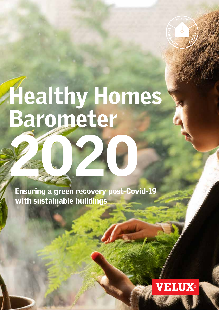# Healthy Homes Barometer 20

Ensuring a green recovery post-Covid-19 with sustainable buildings



RONNENT

**CARGY** 

HEALTHY HOMES BAR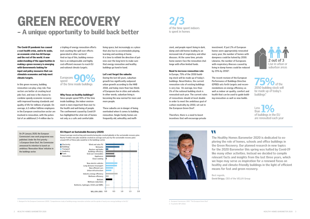# Why focus on healthy buildings? Since people spend 90% of the time inside buildings, the indoor environment is more important than ever to the health and well-being of people. The confinement caused by Covid-19 has highlighted the vital role of homes not only as a safe and comfortable

# GREEN RECOVERY – A unique opportunity to build back better

#### 1. Navigant for the European Commission (2019): "Comprehensive study of building energy renovation activities and the uptake of nearly zero-energy buildings in the EU."

**Fuels** 

The Covid-19 pandemic has caused a vast health crisis, and in its wake, an economic crisis has hit Europe and the rest of the world. A new understanding of the opportunities in making a green recovery is emerging with Governments looking for input and policy measures that can stimulate economies and help meet climate targets.

In this green recovery, building renovation can play a key role. Few sectors are better at creating local jobs fast, and now is the chance to combine speedy economic recovery with improved housing standards and quality of life for millions of people. On average, 6.5 million fulltime employees in the European construction sector are involved in renovation, with the potential of an additional 2-4 million due to

living space, but increasingly as a place that also has to accommodate playing, learning and working at home. It is time to rethink the direction of policies over the long term to make sure that energy renovation and healthy buildings go hand in hand.

# Let's not forget the suburbs

During the last 60 years, suburban growth has significantly outpaced urban growth according to the HHB 2018, and today more than two thirds of Europeans live in cities and suburbs. In other words, suburban living is becoming the new normal for more and more people.

These suburbs are in danger of being overlooked when it comes to building renovation. Single-family homes are frequently old, unhealthy and ineffiIn Europe, 75% of the 2050 building stock will be made up of today's buildings. Nevertheless, the current renovation rate of existing buildings is very low. On average, less than 1% of the national building stock is renovated each year. The current rates of renovations should at least double in order to meet the ambitious goal of carbon-neutrality by 2050, set out in the European Green Deal<sup>2</sup>.

# IEA Report on Sustainable Recovery (2020)



Europeans<br>
spend<br>
of the time inside buildings Europeans spend

Annual average constructing and manufacturing jobs created globally in the sustainable recovery plan. Nearly 9 milion new jobs would be created on average each year by the sustainable recovery plan: around 35% of these jobs would be in the buildings sector.

On 29 January 2020, the European Commission's new work programme was published. Under the first priority - 'a European Green Deal', the Commission announced its intention to launch an ambitious 'Renovation Wave' initiative in

the buildings sector.





2/3 of the time spent indoors is spent in homes

> **The Healthy Homes Barometer 2020 is dedicated to exploring the role of homes, schools and office buildings in the Green Recovery. Our planned research in new topics for the 2020 Barometer this spring was halted by Covid-19 like many other activities. Instead we decided to compile relevant facts and insights from the last three years, which we hope may serve as inspiration for a renewed focus on healthy and climate-friendly buildings in the light of efficient means for fast and green recovery.**

Best regards, **David Briggs**, CEO of the VELUX Group

cient, and people report living in dark, damp and cold homes leading to an increased risk of respiratory and other diseases. At the same time, private home owners face the renovation challenge with often limited funds.

#### Need to increase renovation rate

Therefore, there is a need to boost incentives that will encourage private

# W

by 25% by 2050<sup>3</sup>.

investment. If just 2% of European homes were appropriately renovated every year, the number of homes with dampness could be halved by 2050. Likewise, the number of Europeans with respiratory illnesses caused by living in damp homes could be reduced

.

The recent revision of the European Performance of Buildings Directive (EPBD) sets forth targets and recommendations on energy efficiency as well as indoor air quality, comfort and health that can be used to guide building renovation as well as new builds.

75% of the 2050 building stock will be made up of today's buildings<sup>4</sup>

a tripling of energy renovation efforts (not counting the spill-over effects generated in other sectors)<sup>1</sup>. And on top of this, building renovation is an indispensable and highly cost-efficient measure to reach EU and national climate targets.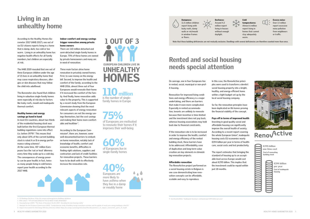# 1 OUT OF 3 EUROPEAN CHILDREN LIVE IN UNHEALTHY **HOMES**

According to the Healthy Homes Barometer 2017 (HHB 2017), one out of six EU citizens reports living in a home that is damp, dark, too cold or too warm. Living in an unhealthy home has negative health effects for all family members, but children are especially at risk.

The HHB 2019 revealed that one out of three European children under the age of 15 lives in an unhealthy home that may cause respiratory diseases, allergies or skin diseases that may follow the child into adulthood.

The Barometer also found that children living in suburban single-family homes were especially at risk due to factors like leaky roofs, mould and inadequate thermal comfort.

# Healthy homes and energy savings go hand in hand

In most EU countries, about two thirds of the residential housing stock was built before the first European thermal building regulations came into effect  $(i.e.$  before 1979)<sup>4</sup>. This means that only about 10% of the current building stock is rated A or B in energy performance rating schemes<sup>5</sup>. . At the same time, 40<sup>6</sup> million Europeans face the 'eat or heat' dilemma every time they wake up to a cold day. The consequences of energy poverty can be poor health; in fact, twice as many people living in cold homes report poor health according to the 2017 HHB.

60%<br>of Europeans live in single-family homes

# million is the number of single-

# Living in an unhealthy home

**40%**<br>Europeans are more likely to have asthma when they live in a damp or mouldy home



# Indoor comfort and energy savings trigger renovation among private home owners

There are 110 million detached and semi-detached single-family homes in Europe. 75% of these homes are owned by private homeowners and many are in need of renovation.

Three main factors drive home renovation in privately owned homes. First, to save money on the energy bill. Second, to improve the health and comfort of the family; according to the HHB 2016, almost three out of four Europeans would renovate their home if it increased the comfort of the family. And finally, home renovation adds value to the property. This is supported by a recent study from the European Commission showing that the most relevant aspects of energy renovation for consumers are not the energy savings themselves, but the cost savings and making their home more comfortable and healthier<sup>7</sup>. .

According to the European Commission8, there are, however, some well-documented barriers to embark on home renovation, notably lack of knowledge of health, comfort and economic benefits, difficulties in finding right solutions, suppliers and contractors and lack of credit facilities for renovation projects. These barriers have to be dealt with to effectively increase the renovation rate.



75%<br>of Europeans are motivated to renovate their homes if it improves their well-being

family homes in Europe

standard of housing up to an acceptable level across Europe would cost about €295 billion. This implies that the investment could be repaid within just 18 months.

4. EU Buildings Database: https://ec.europa.eu/energy/en/eu-buildings-database

5. BPIE (2017): "97% OF BUILDINGS IN THE EU NEED TO BE UPGRADED"

6. Housing Europe (2019): "The State of Housing in the EU 2019 - Decoding the new housing reality"

7. Navigant for the European Commission (2019): "Comprehensive study of building energy renovation activities and the uptake of nearly zero-energy buildings in the EU."

8. Impact Assessment for the Energy Efficiency Directive (2016): https://ec.europa.eu/energy/sites/ener/files/documents/1\_en\_impact\_assessment\_part1\_v4\_0.pdf

On average, one in four Europeans live in rented, social, municipal or non-profit housing.

Renovation for improved living conditions and energy efficiency is a major undertaking, and there are barriers that make it even more complicated. Especially in rented accommodation, tenants are unlikely to renovate because their incentive is time-limited and the investment does not pay back, whereas housing associations may hold back due to financial constraints.

If the renovation rate is to be increased in order to improve the health, comfort and energy efficiency of the rented building stock, these barriers have to be addressed. Affordability, ease of duplication and long-term value creation are key elements in stimulating renovation projects.

#### Affordable renovation

The RenovActive project performed on a social housing estate in Belgium is one case demonstrating how renovation concepts can be affordable, scalable and easy to reproduce.

# Rented and social housing needs special attention



Darkness:

Around 4.2 million report living in houses without enough daylight.

Cold temperatures: Almost 6 million report living in homes that cannot stay adequately warm.



Excess noise: Over 13 million report excessive noise pollution from neighbours or traffic.

Note that these building deficiencies are not mutually exclusive. Dwellings with several deficiencies are therefore counted more than once.

In this case, the RenovActive principles were used to transform a derelict social housing property into a bright, healthy, and energy-efficient home within a tight budget set up by the local social housing company.

So far, the renovation principles have been duplicated on 86 homes proving the financial viability of the concept.

Pays off in terms of improved health Investing in good quality social and affordable housing can significantly improve the overall health of society. According to a recent report covering the whole European Union<sup>9</sup>, inadequate housing costs EU economies nearly €194 billion per year in terms of healthcare, social costs and lost productivity.

The report estimates that bringing the



9. Eurofound (2016): "Inadequate housing is costing Europe €194 billion per year."



Cost of renovating building stock €295 billion one time cost



€194 billion per year Cost of inadequate housing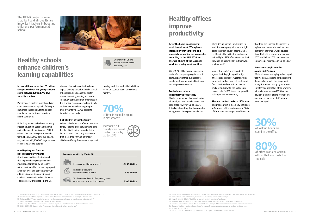In normal times, more than 65 million European children and young students spend between 170 and 190 days annually at school.

Poor indoor climate in schools and daycare centres caused by lack of daylight, dampness, indoor pollutants, or poor ventilation can be linked to serious health conditions.

A review of multiple studies found that improved air quality could boost student performance by up to 15% with a positive effect on working speed, attention level, and concentration $<sup>11</sup>$ . In</sup> addition, improved indoor air quality can lead to reduced student absence<sup>12</sup>. The recent HEAD project<sup>13</sup> in the UK

Unhealthy homes and schools seriously impact education. European children under the age of 15 miss over 250,000 school days due to respiratory conditions, about 365,000 days due to asthma, and almost 1,100,000 days because of issues related to eczema.

# Good lighting and fresh air link to better performance

# Healthy schools enhance children's learning capabilities



showed clear evidence that well-de-

signed primary schools can substantially boost children's academic performance in reading, writing and maths. The study concluded that differences in the physical classrooms explained 16% of the variation in learning progress over a year for the 3,766 students included in the study.

# Sick children affect the family

With 90% of the average operating costs of a company going into staff costs, it pays off for businesses to create healthy and productive indoor working environments<sup>16</sup>.

When a child is sick, it affects the entire family. Parents must stay home to care for the child, leading to productivity losses at work. One study has shown that more than 40% of parents of children suffering from eczema reported



office design part of the decision to work for a company with natural light being the most sought after parameter. Despite the evident importance of natural light, 47% of workers said that they had no natural light in their work environment<sup>18</sup>.

In one study, 63% of respondents agreed that daylight significantly affects productivity $19$ . Another study examined workers in a call centre and found that workers with access to daylight and view to the outside processed calls 6-12% faster compared to colleagues with no views<sup>20</sup>.

- 10. European Commission, 2018. "The Organisation of School Time in Europe. Primary and General Secondary Education 2018/19"
- 11. Fraunhofer-Institut für Bauphysik IBP, 2015, "Impact of the indoor environment on learning in schools in Europe.
- 12. Fisk et al., 2015. "Parent-reported outcomes of a shared decision-making portal in asthma: a practice-based RCT
- 13. Clever Classrooms Summary Report of the HEAD Project link
- 14. Filanovsky et al., 2016 "The Financial and Emotional Impact of Atopic Dermatitis on Children and Their Families."
- 15. SINPHONIE (2014) "Schools Indoor Pollution and Health Observatory Network in Europe."

80%<br>of office workers work in offices that are too hot or too cold

The HEAD project showed that light and air quality are important factors in boosting children's performance at school.



30%<br>of waking hours are spent in the office

that they are exposed to excessively high or low temperatures close to a quarter of the time<sup>21</sup>, while studies show that office temperatures above 23°C and below 20°C can decrease employee performance by up to 10%<sup>22</sup>.

Children in the UK are missing 2 million school days every year.

Increased air quality can boost performance by up to 15%

| Economic benefits by 2060 - EU |                                                                                 |                 |
|--------------------------------|---------------------------------------------------------------------------------|-----------------|
|                                | Increasing ventilation in schools                                               | € 252.8 Billion |
|                                | Reducing exposure to<br>mould and damp in homes                                 | € 55.7 Billion  |
|                                | Total economic benefit of improving indoor<br>environments in schools and homes | €308.5 Billion  |
|                                |                                                                                 |                 |

missing work to care for their children, losing on average about three days a month $14$ .

70%<br>of time in school is spent in classroom<sup>15</sup>

After the home, people spend most time at work. Workplaces increasingly move indoors, and especially into office environments; according to the HHB 2018, an average of 36% of the European workforce today work in offices.

## Fresh air and natural light improve productivity

Studies have shown that good indoor air quality at work can increase people's productivity by up to 10%17. It is also interesting that in one global study, one in three people make the

| <b>Healthy offices</b> |
|------------------------|
| <b>improve</b>         |
| productivity           |

# Thermal comfort makes a difference

Thermal comfort is also a key challenge in European office environments. 80% of Europeans working in an office state



16. Health, Wellbeing & Productivity in Offices, The next chapter for green building September 2014, World Green Building Council

- 17. Bjarne Olesen, Technical University of Denmark: "Productivity and Indoor Air Quality."
- 18. HUMAN SPACES (2015): "The Global Impact of Biophilic Design in the Workplace."
- 19. YouGov (2018): "THE EFFECTS OF MODERN INDOOR LIVING ON HEALTH, WELLBEING AND PRODUCTIVITY"
- 20. Heschong Mahone Group (2003) Windows and Offices: A Study of Office Worker Performance and the Indoor Environment
- 21. European Working Conditions Survey: https://www.eurofound.europa.eu/data/european-working-conditions-survey 22. HUMAN SPACES: op.cit.
- EXEMPLE AND MUST SERVIND ON HEALTH, WELLBEING AND PRODUCTIVITY" HOMES BAROMETER 2020 7 THE EFFECTS OF MODERN INDOOR LIVING ON HEALTH, WELLBEING AND PRODUCTIVITY" HEALTHY HOMES BAROMETER 2020 7 23. THE EFFECTS OF MODERN INDOOR LIVING ON HEALTH, WELLBEING AND PRODUCTIVITY"

# Access to daylight enables a good night's sleep

While windows are highly valued by office workers, access to daylight during the day also affects the sleep quality at night. A recent study by neuroscientists<sup>23</sup> suggests that office workers with windows received 173% more daylight exposure during work hours, and slept an average of 46 minutes more per night.